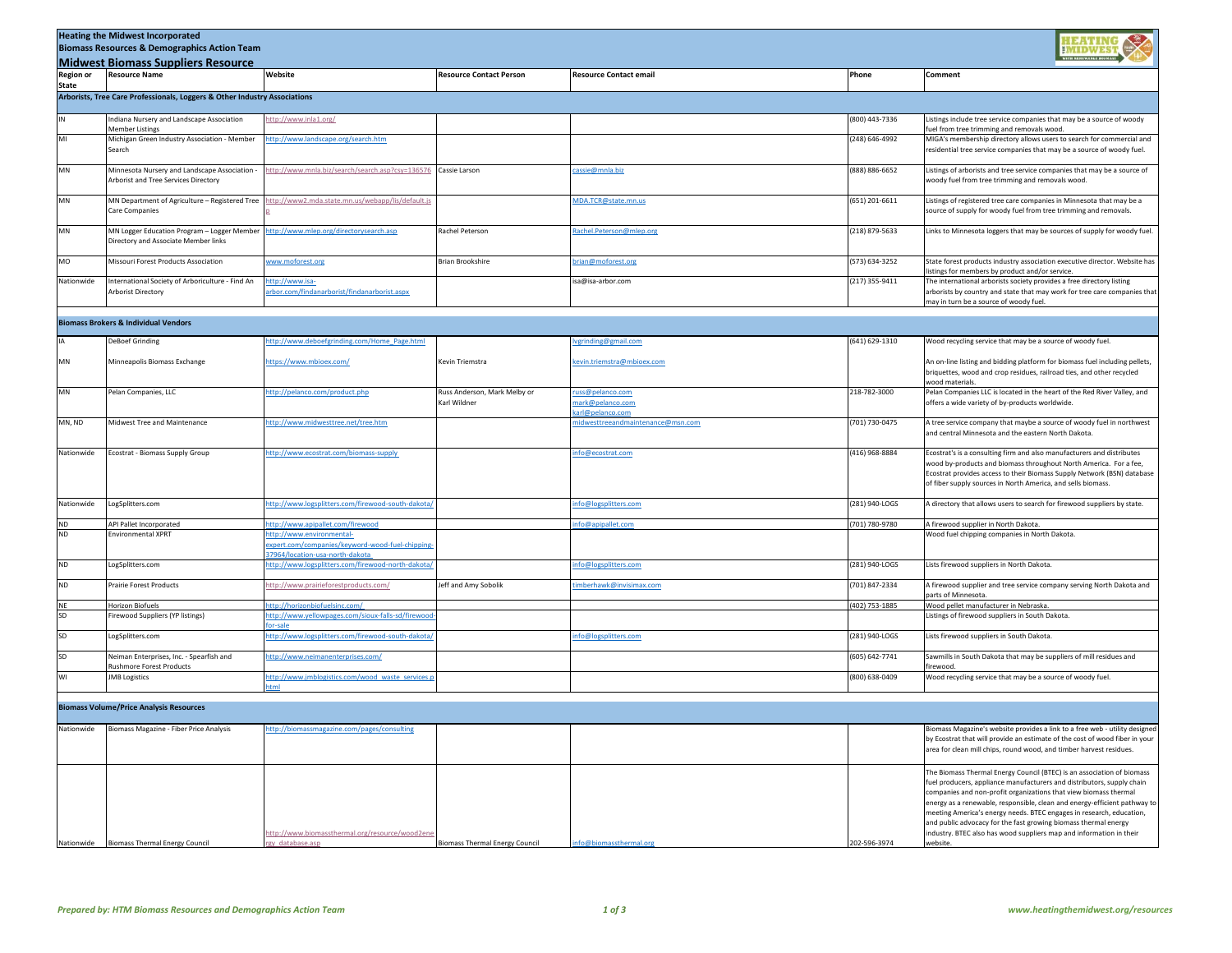|                           | <b>Heating the Midwest Incorporated</b><br><b>Biomass Resources &amp; Demographics Action Team</b> |                                                                                                                  |                                              |                                                      |                  |                                                                                                                                                                                                                                                                                                                                                                                                                                                                                                                                 |  |  |
|---------------------------|----------------------------------------------------------------------------------------------------|------------------------------------------------------------------------------------------------------------------|----------------------------------------------|------------------------------------------------------|------------------|---------------------------------------------------------------------------------------------------------------------------------------------------------------------------------------------------------------------------------------------------------------------------------------------------------------------------------------------------------------------------------------------------------------------------------------------------------------------------------------------------------------------------------|--|--|
|                           | <b>Midwest Biomass Suppliers Resource</b>                                                          |                                                                                                                  |                                              |                                                      |                  |                                                                                                                                                                                                                                                                                                                                                                                                                                                                                                                                 |  |  |
| <b>Region or</b><br>State | <b>Resource Name</b>                                                                               | Website                                                                                                          | <b>Resource Contact Person</b>               | <b>Resource Contact email</b>                        | Phone            | Comment                                                                                                                                                                                                                                                                                                                                                                                                                                                                                                                         |  |  |
|                           | Arborists, Tree Care Professionals, Loggers & Other Industry Associations                          |                                                                                                                  |                                              |                                                      |                  |                                                                                                                                                                                                                                                                                                                                                                                                                                                                                                                                 |  |  |
| IN                        | Indiana Nursery and Landscape Association                                                          | http://www.inla1.org/                                                                                            |                                              |                                                      | (800) 443-7336   | Listings include tree service companies that may be a source of woody                                                                                                                                                                                                                                                                                                                                                                                                                                                           |  |  |
| MI                        | <b>Member Listings</b><br>Michigan Green Industry Association - Member                             | http://www.landscape.org/search.htm                                                                              |                                              |                                                      | (248) 646-4992   | fuel from tree trimming and removals wood.<br>MIGA's membership directory allows users to search for commercial and                                                                                                                                                                                                                                                                                                                                                                                                             |  |  |
|                           | Search                                                                                             |                                                                                                                  |                                              |                                                      |                  | residential tree service companies that may be a source of woody fuel.                                                                                                                                                                                                                                                                                                                                                                                                                                                          |  |  |
| MN                        | Minnesota Nursery and Landscape Association -<br>Arborist and Tree Services Directory              | http://www.mnla.biz/search/search.asp?csy=136576                                                                 | Cassie Larson                                | cassie@mnla.biz                                      | (888) 886-6652   | Listings of arborists and tree service companies that may be a source of<br>woody fuel from tree trimming and removals wood.                                                                                                                                                                                                                                                                                                                                                                                                    |  |  |
| MN                        | MN Department of Agriculture - Registered Tree<br>Care Companies                                   | http://www2.mda.state.mn.us/webapp/lis/default.js                                                                |                                              | ADA.TCR@state.mn.us                                  | $(651)$ 201-6611 | Listings of registered tree care companies in Minnesota that may be a<br>source of supply for woody fuel from tree trimming and removals.                                                                                                                                                                                                                                                                                                                                                                                       |  |  |
| MN                        | MN Logger Education Program - Logger Member<br>Directory and Associate Member links                | http://www.mlep.org/directorysearch.asp                                                                          | Rachel Peterson                              | Rachel.Peterson@mlep.org                             | (218) 879-5633   | Links to Minnesota loggers that may be sources of supply for woody fuel.                                                                                                                                                                                                                                                                                                                                                                                                                                                        |  |  |
| MO                        | Missouri Forest Products Association                                                               | www.moforest.org                                                                                                 | Brian Brookshire                             | vrian@moforest.org                                   | (573) 634-3252   | State forest products industry association executive director. Website has<br>listings for members by product and/or service.                                                                                                                                                                                                                                                                                                                                                                                                   |  |  |
| Nationwide                | International Society of Arboriculture - Find An<br>Arborist Directory                             | http://www.isa-<br>arbor.com/findanarborist/findanarborist.aspx                                                  |                                              | isa@isa-arbor.com                                    | (217) 355-9411   | The international arborists society provides a free directory listing<br>arborists by country and state that may work for tree care companies that<br>may in turn be a source of woody fuel.                                                                                                                                                                                                                                                                                                                                    |  |  |
|                           | <b>Biomass Brokers &amp; Individual Vendors</b>                                                    |                                                                                                                  |                                              |                                                      |                  |                                                                                                                                                                                                                                                                                                                                                                                                                                                                                                                                 |  |  |
| IA                        | <b>DeBoef Grinding</b>                                                                             | http://www.deboefgrinding.com/Home_Page.html                                                                     |                                              | vgrinding@gmail.com                                  | 641) 629-1310    | Wood recycling service that may be a source of woody fuel.                                                                                                                                                                                                                                                                                                                                                                                                                                                                      |  |  |
| MN                        | Minneapolis Biomass Exchange                                                                       | https://www.mbioex.com/                                                                                          | Kevin Triemstra                              | kevin.triemstra@mbioex.com                           |                  | An on-line listing and bidding platform for biomass fuel including pellets,<br>briquettes, wood and crop residues, railroad ties, and other recycled                                                                                                                                                                                                                                                                                                                                                                            |  |  |
| MN                        | Pelan Companies, LLC                                                                               | http://pelanco.com/product.php                                                                                   | Russ Anderson, Mark Melby or<br>Karl Wildner | uss@pelanco.com<br>nark@pelanco.com                  | 218-782-3000     | vood materials<br>Pelan Companies LLC is located in the heart of the Red River Valley, and<br>offers a wide variety of by-products worldwide.                                                                                                                                                                                                                                                                                                                                                                                   |  |  |
| MN, ND                    | Midwest Tree and Maintenance                                                                       | http://www.midwesttree.net/tree.htm                                                                              |                                              | arl@pelanco.com<br>nidwesttreeandmaintenance@msn.com | (701) 730-0475   | A tree service company that maybe a source of woody fuel in northwest<br>and central Minnesota and the eastern North Dakota.                                                                                                                                                                                                                                                                                                                                                                                                    |  |  |
| Nationwide                | Ecostrat - Biomass Supply Group                                                                    | http://www.ecostrat.com/biomass-supply                                                                           |                                              | nfo@ecostrat.com                                     | (416) 968-8884   | Ecostrat's is a consulting firm and also manufacturers and distributes<br>wood by-products and biomass throughout North America. For a fee,<br>Ecostrat provides access to their Biomass Supply Network (BSN) database<br>of fiber supply sources in North America, and sells biomass.                                                                                                                                                                                                                                          |  |  |
| Nationwide                | LogSplitters.com                                                                                   | http://www.logsplitters.com/firewood-south-dakota/                                                               |                                              | nfo@logsplitters.com                                 | (281) 940-LOGS   | A directory that allows users to search for firewood suppliers by state.                                                                                                                                                                                                                                                                                                                                                                                                                                                        |  |  |
| <b>ND</b>                 | API Pallet Incorporated                                                                            | http://www.apipallet.com/firewood                                                                                |                                              | nfo@apipallet.com                                    | (701) 780-9780   | A firewood supplier in North Dakota.                                                                                                                                                                                                                                                                                                                                                                                                                                                                                            |  |  |
| ND                        | Environmental XPRT                                                                                 | http://www.environmental-<br>expert.com/companies/keyword-wood-fuel-chipping-<br>37964/location-usa-north-dakota |                                              |                                                      |                  | Wood fuel chipping companies in North Dakota.                                                                                                                                                                                                                                                                                                                                                                                                                                                                                   |  |  |
| <b>ND</b>                 | LogSplitters.com                                                                                   | http://www.logsplitters.com/firewood-north-dakota/                                                               |                                              | nfo@logsplitters.com                                 | (281) 940-LOGS   | Lists firewood suppliers in North Dakota.                                                                                                                                                                                                                                                                                                                                                                                                                                                                                       |  |  |
| ND                        | Prairie Forest Products                                                                            | http://www.prairieforestproducts.com/                                                                            | Jeff and Amy Sobolik                         | imberhawk@invisimax.com                              | (701) 847-2334   | A firewood supplier and tree service company serving North Dakota and<br>parts of Minnesota                                                                                                                                                                                                                                                                                                                                                                                                                                     |  |  |
| NE<br>SD                  | <b>Horizon Biofuels</b>                                                                            | http://horizonbiofuelsinc.com/<br>http://www.yellowpages.com/sioux-falls-sd/firewoo                              |                                              |                                                      | (402) 753-1885   | Wood pellet manufacturer in Nebraska.                                                                                                                                                                                                                                                                                                                                                                                                                                                                                           |  |  |
|                           | irewood Suppliers (YP listings)                                                                    |                                                                                                                  |                                              |                                                      |                  | Listings of firewood suppliers in South Dakota.                                                                                                                                                                                                                                                                                                                                                                                                                                                                                 |  |  |
| SD                        | LogSplitters.com                                                                                   | http://www.logsplitters.com/firewood-south-dakota                                                                |                                              | nfo@logsplitters.com                                 | (281) 940-LOGS   | Lists firewood suppliers in South Dakota.                                                                                                                                                                                                                                                                                                                                                                                                                                                                                       |  |  |
| SD                        | Neiman Enterprises, Inc. - Spearfish and<br>Rushmore Forest Products                               | http://www.neimanenterprises.com/                                                                                |                                              |                                                      | (605) 642-7741   | Sawmills in South Dakota that may be suppliers of mill residues and<br>firewood                                                                                                                                                                                                                                                                                                                                                                                                                                                 |  |  |
| WI                        | <b>IMB Logistics</b>                                                                               | http://www.jmblogistics.com/wood_waste_services.p                                                                |                                              |                                                      | (800) 638-0409   | Wood recycling service that may be a source of woody fuel.                                                                                                                                                                                                                                                                                                                                                                                                                                                                      |  |  |
|                           | <b>Biomass Volume/Price Analysis Resources</b>                                                     |                                                                                                                  |                                              |                                                      |                  |                                                                                                                                                                                                                                                                                                                                                                                                                                                                                                                                 |  |  |
|                           |                                                                                                    |                                                                                                                  |                                              |                                                      |                  |                                                                                                                                                                                                                                                                                                                                                                                                                                                                                                                                 |  |  |
| Nationwide                | Biomass Magazine - Fiber Price Analysis                                                            | nttp://biomassmagazine.com/pages/consulting                                                                      |                                              |                                                      |                  | Biomass Magazine's website provides a link to a free web - utility designed<br>by Ecostrat that will provide an estimate of the cost of wood fiber in your<br>area for clean mill chips, round wood, and timber harvest residues.                                                                                                                                                                                                                                                                                               |  |  |
| Nationwide                | <b>Biomass Thermal Energy Council</b>                                                              | http://www.biomassthermal.org/resource/wood2en<br>gy database.asp                                                | <b>Biomass Thermal Energy Council</b>        | nfo@biomassthermal.org                               | 202-596-3974     | The Biomass Thermal Energy Council (BTEC) is an association of biomass<br>fuel producers, appliance manufacturers and distributors, supply chain<br>companies and non-profit organizations that view biomass thermal<br>energy as a renewable, responsible, clean and energy-efficient pathway to<br>meeting America's energy needs. BTEC engages in research, education,<br>and public advocacy for the fast growing biomass thermal energy<br>industry. BTEC also has wood suppliers map and information in their<br>website. |  |  |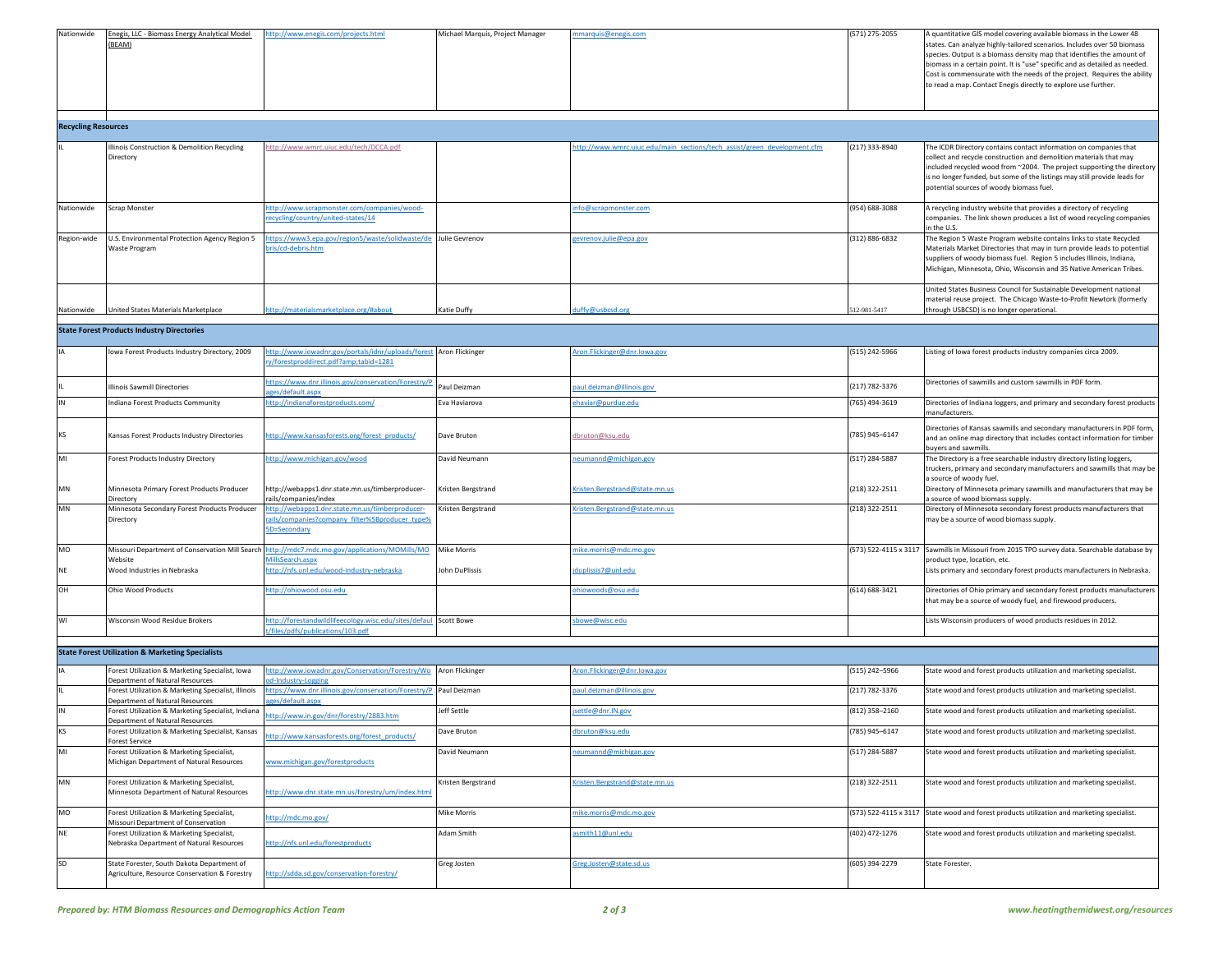| Nationwide | Enegis, LLC - Biomass Energy Analytical Model<br>(BEAM) | http://www.enegis.com/projects.html | Michael Marquis, Project Manager | mmarquis@enegis.com | (571) 275-2055 | A quantitative GIS model covering available biomass in the Lower 48<br>states. Can analyze highly-tailored scenarios. Includes over 50 biomass<br>species. Output is a biomass density map that identifies the amount of<br>biomass in a certain point. It is "use" specific and as detailed as needed.<br>Cost is commensurate with the needs of the project. Requires the ability<br>to read a map. Contact Enegis directly to explore use further. |
|------------|---------------------------------------------------------|-------------------------------------|----------------------------------|---------------------|----------------|-------------------------------------------------------------------------------------------------------------------------------------------------------------------------------------------------------------------------------------------------------------------------------------------------------------------------------------------------------------------------------------------------------------------------------------------------------|
|            |                                                         |                                     |                                  |                     |                |                                                                                                                                                                                                                                                                                                                                                                                                                                                       |

**Recycling Resources**

| <b>Recycling Resources</b> |                                                                |                                                                                   |                |                                                                          |                |                                                                                                                                                                                                                                                                                                                                             |
|----------------------------|----------------------------------------------------------------|-----------------------------------------------------------------------------------|----------------|--------------------------------------------------------------------------|----------------|---------------------------------------------------------------------------------------------------------------------------------------------------------------------------------------------------------------------------------------------------------------------------------------------------------------------------------------------|
|                            | Illinois Construction & Demolition Recycling<br>Directory      | http://www.wmrc.uiuc.edu/tech/DCCA.pdf                                            |                | http://www.wmrc.uiuc.edu/main sections/tech assist/green development.cfm | (217) 333-8940 | The ICDR Directory contains contact information on companies that<br>collect and recycle construction and demolition materials that may<br>included recycled wood from ~2004. The project supporting the directory<br>is no longer funded, but some of the listings may still provide leads for<br>potential sources of woody biomass fuel. |
| Nationwide                 | Scrap Monster                                                  | http://www.scrapmonster.com/companies/wood-<br>recycling/country/united-states/14 |                | nfo@scrapmonster.com                                                     | (954) 688-3088 | A recycling industry website that provides a directory of recycling<br>companies. The link shown produces a list of wood recycling companies<br>in the U.S.                                                                                                                                                                                 |
| Region-wide                | U.S. Environmental Protection Agency Region 5<br>Waste Program | https://www3.epa.gov/region5/waste/solidwaste/do<br>bris/cd-debris.htm            | Julie Gevrenov | gevrenov.julie@epa.gov                                                   | (312) 886-6832 | The Region 5 Waste Program website contains links to state Recycled<br>Materials Market Directories that may in turn provide leads to potential<br>suppliers of woody biomass fuel. Region 5 includes Illinois, Indiana,<br>Michigan, Minnesota, Ohio, Wisconsin and 35 Native American Tribes.                                             |
| Nationwide                 | United States Materials Marketplace                            | http://materialsmarketplace.org/#about                                            | Katie Duffy    | duffy@usbcsd.org                                                         | 512-981-5417   | United States Business Council for Sustainable Development national<br>material reuse project. The Chicago Waste-to-Profit Newtork (formerly<br>through USBCSD) is no longer operational.                                                                                                                                                   |

## **State Forest Products Industry Directories**

|           | Iowa Forest Products Industry Directory, 2009              | ttp://www.iowadnr.gov/portals/idnr/uploads/forest Aron Flickinger<br>ry/forestproddirect.pdf?amp;tabid=1281       |                    | Aron.Flickinger@dnr.Iowa.gov   | (515) 242-5966 | Listing of Iowa forest products industry companies circa 2009.                                                                                                              |
|-----------|------------------------------------------------------------|-------------------------------------------------------------------------------------------------------------------|--------------------|--------------------------------|----------------|-----------------------------------------------------------------------------------------------------------------------------------------------------------------------------|
|           | <b>Illinois Sawmill Directories</b>                        | ttps://www.dnr.illinois.gov/conservation/Forestry/F<br>ges/default.aspx                                           | Paul Deizman       | paul.deizman@illinois.gov      | (217) 782-3376 | Directories of sawmills and custom sawmills in PDF form.                                                                                                                    |
|           | Indiana Forest Products Community                          | ttp://indianaforestproducts.com/                                                                                  | Eva Haviarova      | ehaviar@purdue.edu             | (765) 494-3619 | Directories of Indiana loggers, and primary and secondary forest products<br>manufacturers.                                                                                 |
| KS        | Kansas Forest Products Industry Directories                | ttp://www.kansasforests.org/forest_products/                                                                      | Dave Bruton        | dbruton@ksu.edu                | (785) 945-6147 | Directories of Kansas sawmills and secondary manufacturers in PDF form,<br>and an online map directory that includes contact information for timber<br>buvers and sawmills. |
| MI        | Forest Products Industry Directory                         | ttp://www.michigan.gov/wood                                                                                       | David Neumann      | neumannd@michigan.gov          | (517) 284-5887 | The Directory is a free searchable industry directory listing loggers,<br>truckers, primary and secondary manufacturers and sawmills that may be<br>a source of woody fuel. |
| MN        | Minnesota Primary Forest Products Producer<br>Directory    | http://webapps1.dnr.state.mn.us/timberproducer-<br>rails/companies/index                                          | Kristen Bergstrand | Kristen.Bergstrand@state.mn.us | (218) 322-2511 | Directory of Minnesota primary sawmills and manufacturers that may be<br>a source of wood biomass supply.                                                                   |
| MN        | Minnesota Secondary Forest Products Producer<br>Directory  | ttp://webapps1.dnr.state.mn.us/timberproducer-<br>rails/companies?company filter%5Bproducer type%<br>5D=Secondary | Kristen Bergstrand | Kristen.Bergstrand@state.mn.us | (218) 322-2511 | Directory of Minnesota secondary forest products manufacturers that<br>may be a source of wood biomass supply.                                                              |
| MO        | Missouri Department of Conservation Mill Search<br>Website | ttp://mdc7.mdc.mo.gov/applications/MOMills/MO<br>MillsSearch.aspx                                                 | <b>Mike Morris</b> | nike.morris@mdc.mo.gov         |                | (573) 522-4115 x 3117 Sawmills in Missouri from 2015 TPO survey data. Searchable database by<br>product type, location, etc.                                                |
| <b>NE</b> | Wood Industries in Nebraska                                | ttp://nfs.unl.edu/wood-industry-nebraska                                                                          | John DuPlissis     | jduplissis7@unl.edu            |                | Lists primary and secondary forest products manufacturers in Nebraska                                                                                                       |
| OH        | <b>Ohio Wood Products</b>                                  | ttp://ohiowood.osu.edu                                                                                            |                    | ohiowoods@osu.edu              | (614) 688-3421 | Directories of Ohio primary and secondary forest products manufacturers<br>that may be a source of woody fuel, and firewood producers.                                      |
| WI        | Wisconsin Wood Residue Brokers                             | ttp://forestandwildlifeecology.wisc.edu/sites/defaul Scott Bowe<br>t/files/pdfs/publications/103.pdf              |                    | sbowe@wisc.edu                 |                | Lists Wisconsin producers of wood products residues in 2012.                                                                                                                |

## **State Forest Utilization & Marketing Specialists**

|           | state Forest Othization & Marketing Specialists                                             |                                                                                        |                    |                                |                  |                                                                                            |
|-----------|---------------------------------------------------------------------------------------------|----------------------------------------------------------------------------------------|--------------------|--------------------------------|------------------|--------------------------------------------------------------------------------------------|
|           | Forest Utilization & Marketing Specialist, Iowa<br>Department of Natural Resources          | http://www.iowadnr.gov/Conservation/Forestry/Wo Aron Flickinger<br>od-Industry-Logging |                    | Aron.Flickinger@dnr.Iowa.gov   | (515) 242-5966   | State wood and forest products utilization and marketing specialist.                       |
|           | Forest Utilization & Marketing Specialist, Illinois<br>Department of Natural Resources      | ttps://www.dnr.illinois.gov/conservation/Forestry/P Paul Deizman<br>ges/default.aspx   |                    | paul.deizman@illinois.gov      | (217) 782-3376   | State wood and forest products utilization and marketing specialist.                       |
|           | Forest Utilization & Marketing Specialist, Indiana<br>Department of Natural Resources       | nttp://www.in.gov/dnr/forestry/2883.htm                                                | Jeff Settle        | jsettle@dnr.IN.gov             | $(812)$ 358-2160 | State wood and forest products utilization and marketing specialist.                       |
| <b>KS</b> | Forest Utilization & Marketing Specialist, Kansas<br><b>Forest Service</b>                  | ittp://www.kansasforests.org/forest_products/                                          | Dave Bruton        | dbruton@ksu.edu                | (785) 945-6147   | State wood and forest products utilization and marketing specialist.                       |
| MI        | Forest Utilization & Marketing Specialist,<br>Michigan Department of Natural Resources      | www.michigan.gov/forestproducts                                                        | David Neumann      | neumannd@michigan.gov          | (517) 284-5887   | State wood and forest products utilization and marketing specialist.                       |
| <b>MN</b> | Forest Utilization & Marketing Specialist,<br>Minnesota Department of Natural Resources     | ittp://www.dnr.state.mn.us/forestry/um/index.html                                      | Kristen Bergstrand | Kristen.Bergstrand@state.mn.us | (218) 322-2511   | State wood and forest products utilization and marketing specialist.                       |
| MO        | Forest Utilization & Marketing Specialist,<br>Missouri Department of Conservation           | http://mdc.mo.gov/                                                                     | Mike Morris        | nike.morris@mdc.mo.gov         |                  | (573) 522-4115 x 3117 State wood and forest products utilization and marketing specialist. |
| <b>NF</b> | Forest Utilization & Marketing Specialist,<br>Nebraska Department of Natural Resources      | http://nfs.unl.edu/forestproducts                                                      | Adam Smith         | asmith11@unl.edu               | (402) 472-1276   | State wood and forest products utilization and marketing specialist.                       |
| <b>SD</b> | State Forester, South Dakota Department of<br>Agriculture, Resource Conservation & Forestry | http://sdda.sd.gov/conservation-forestry/                                              | Greg Josten        | Greg.Josten@state.sd.us        | (605) 394-2279   | State Forester.                                                                            |